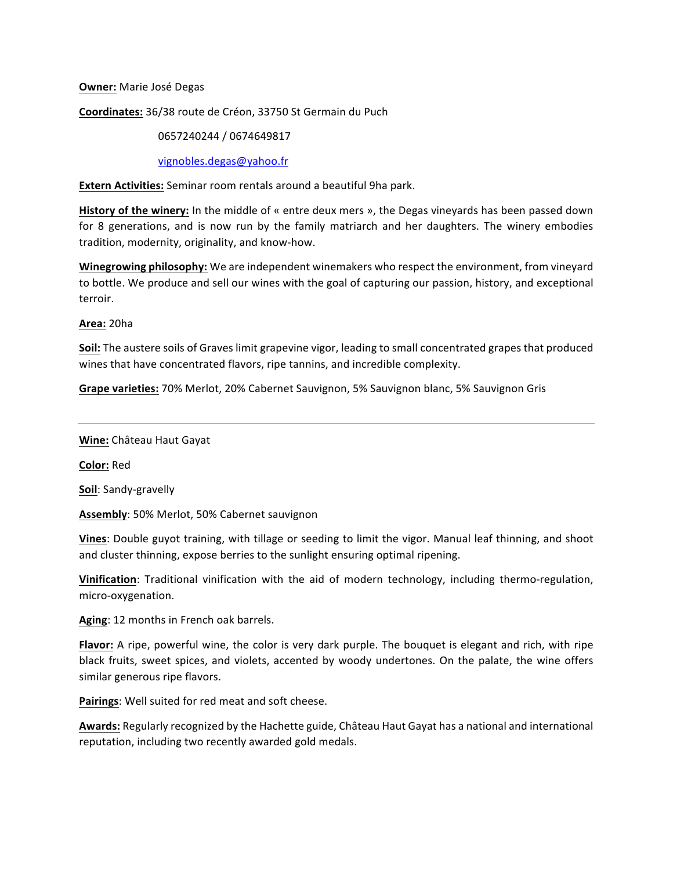## **Owner:** Marie José Degas

## **Coordinates:** 36/38 route de Créon, 33750 St Germain du Puch

# 0657240244 / 0674649817

vignobles.degas@yahoo.fr

**Extern Activities:** Seminar room rentals around a beautiful 9ha park.

**History of the winery:** In the middle of « entre deux mers », the Degas vineyards has been passed down for 8 generations, and is now run by the family matriarch and her daughters. The winery embodies tradition, modernity, originality, and know-how.

**Winegrowing philosophy:** We are independent winemakers who respect the environment, from vineyard to bottle. We produce and sell our wines with the goal of capturing our passion, history, and exceptional terroir.

# **Area:** 20ha

**Soil:** The austere soils of Graves limit grapevine vigor, leading to small concentrated grapes that produced wines that have concentrated flavors, ripe tannins, and incredible complexity.

**Grape varieties:** 70% Merlot, 20% Cabernet Sauvignon, 5% Sauvignon blanc, 5% Sauvignon Gris

## **Wine:** Château Haut Gayat

**Color:** Red

**Soil**: Sandy-gravelly

**Assembly**: 50% Merlot, 50% Cabernet sauvignon

**Vines:** Double guyot training, with tillage or seeding to limit the vigor. Manual leaf thinning, and shoot and cluster thinning, expose berries to the sunlight ensuring optimal ripening.

**Vinification**: Traditional vinification with the aid of modern technology, including thermo-regulation, micro-oxygenation.

Aging: 12 months in French oak barrels.

**Flavor:** A ripe, powerful wine, the color is very dark purple. The bouquet is elegant and rich, with ripe black fruits, sweet spices, and violets, accented by woody undertones. On the palate, the wine offers similar generous ripe flavors.

Pairings: Well suited for red meat and soft cheese.

Awards: Regularly recognized by the Hachette guide, Château Haut Gayat has a national and international reputation, including two recently awarded gold medals.